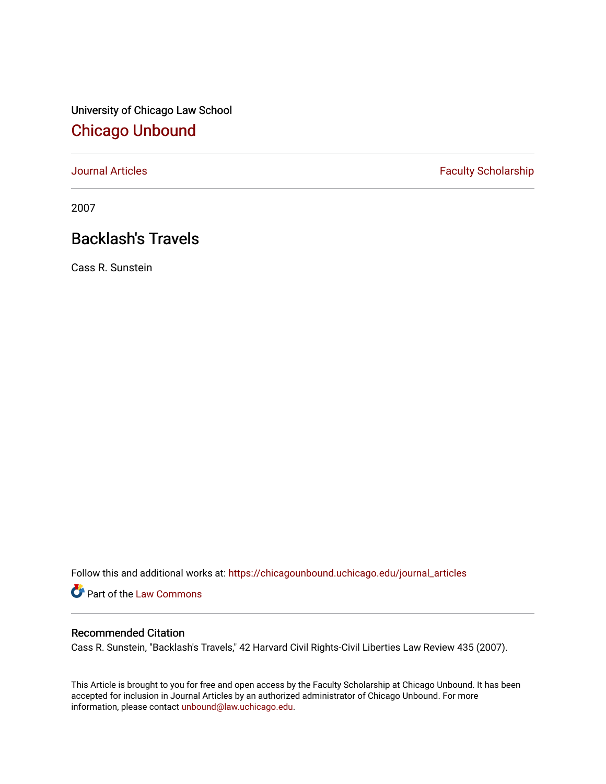University of Chicago Law School [Chicago Unbound](https://chicagounbound.uchicago.edu/)

[Journal Articles](https://chicagounbound.uchicago.edu/journal_articles) **Faculty Scholarship Faculty Scholarship** 

2007

# **Backlash's Travels**

Cass R. Sunstein

Follow this and additional works at: [https://chicagounbound.uchicago.edu/journal\\_articles](https://chicagounbound.uchicago.edu/journal_articles?utm_source=chicagounbound.uchicago.edu%2Fjournal_articles%2F8311&utm_medium=PDF&utm_campaign=PDFCoverPages) 

**Part of the [Law Commons](http://network.bepress.com/hgg/discipline/578?utm_source=chicagounbound.uchicago.edu%2Fjournal_articles%2F8311&utm_medium=PDF&utm_campaign=PDFCoverPages)** 

### Recommended Citation

Cass R. Sunstein, "Backlash's Travels," 42 Harvard Civil Rights-Civil Liberties Law Review 435 (2007).

This Article is brought to you for free and open access by the Faculty Scholarship at Chicago Unbound. It has been accepted for inclusion in Journal Articles by an authorized administrator of Chicago Unbound. For more information, please contact [unbound@law.uchicago.edu](mailto:unbound@law.uchicago.edu).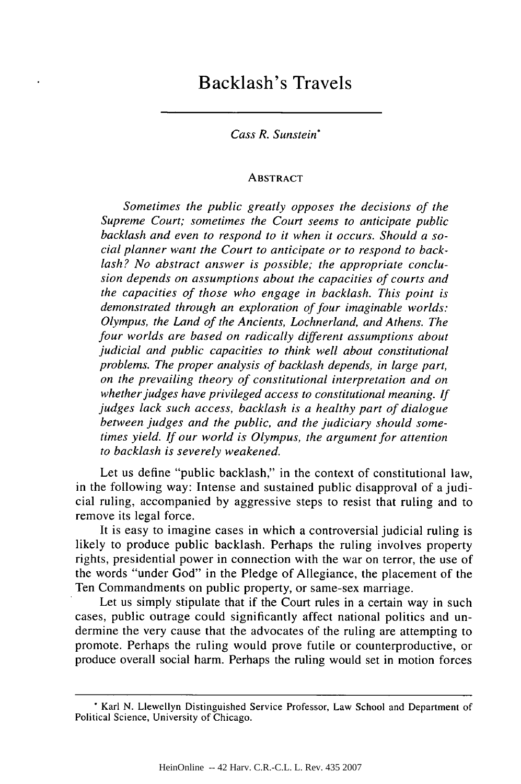*Cass R. Sunstein\**

#### **ABSTRACT**

*Sometimes the public greatly opposes the decisions of the Supreme Court; sometimes the Court seems to anticipate public backlash and even to respond to it when it occurs. Should a social planner want the Court to anticipate or to respond to backlash? No abstract answer is possible; the appropriate conclusion depends on assumptions about the capacities of courts and the capacities of those who engage in backlash. This point is demonstrated through an exploration of four imaginable worlds: Olympus, the Land of the Ancients, Lochnerland, and Athens. The four worlds are based on radically different assumptions about judicial and public capacities to think well about constitutional problems. The proper analysis of backlash depends, in large part, on the prevailing theory of constitutional interpretation and on whether judges have privileged access to constitutional meaning. If judges lack such access, backlash is a healthy part of dialogue between judges and the public, and the judiciary should sometimes yield. If our world is Olympus, the argument for attention to backlash is severely weakened.*

Let us define "public backlash," in the context of constitutional law, in the following way: Intense and sustained public disapproval of a judicial ruling, accompanied by aggressive steps to resist that ruling and to remove its legal force.

It is easy to imagine cases in which a controversial judicial ruling is likely to produce public backlash. Perhaps the ruling involves property rights, presidential power in connection with the war on terror, the use of the words "under God" in the Pledge of Allegiance, the placement of the Ten Commandments on public property, or same-sex marriage.

Let us simply stipulate that if the Court rules in a certain way in such cases, public outrage could significantly affect national politics and undermine the very cause that the advocates of the ruling are attempting to promote. Perhaps the ruling would prove futile or counterproductive, or produce overall social harm. Perhaps the ruling would set in motion forces

**<sup>\*</sup>** Karl N. Llewellyn Distinguished Service Professor, Law School and Department of Political Science, University of Chicago.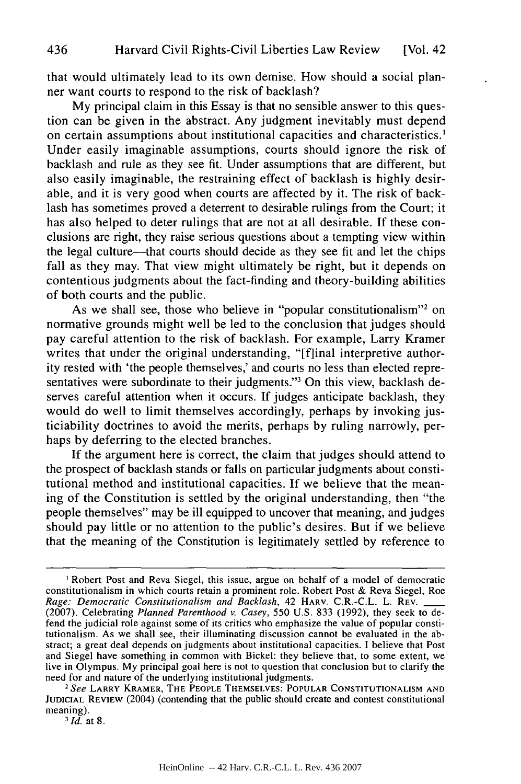that would ultimately lead to its own demise. How should a social planner want courts to respond to the risk of backlash?

My principal claim in this Essay is that no sensible answer to this question can be given in the abstract. Any judgment inevitably must depend on certain assumptions about institutional capacities and characteristics.' Under easily imaginable assumptions, courts should ignore the risk of backlash and rule as they see fit. Under assumptions that are different, but also easily imaginable, the restraining effect of backlash is highly desirable, and it is very good when courts are affected by it. The risk of backlash has sometimes proved a deterrent to desirable rulings from the Court; it has also helped to deter rulings that are not at all desirable. If these conclusions are right, they raise serious questions about a tempting view within the legal culture-that courts should decide as they see fit and let the chips fall as they may. That view might ultimately be right, but it depends on contentious judgments about the fact-finding and theory-building abilities of both courts and the public.

As we shall see, those who believe in "popular constitutionalism"2 on normative grounds might well be led to the conclusion that judges should pay careful attention to the risk of backlash. For example, Larry Kramer writes that under the original understanding, "[f]inal interpretive authority rested with 'the people themselves,' and courts no less than elected representatives were subordinate to their judgments."<sup>3</sup> On this view, backlash deserves careful attention when it occurs. If judges anticipate backlash, they would do well to limit themselves accordingly, perhaps by invoking justiciability doctrines to avoid the merits, perhaps by ruling narrowly, perhaps by deferring to the elected branches.

If the argument here is correct, the claim that judges should attend to the prospect of backlash stands or falls on particular judgments about constitutional method and institutional capacities. If we believe that the meaning of the Constitution is settled by the original understanding, then "the people themselves" may be ill equipped to uncover that meaning, and judges should pay little or no attention to the public's desires. But if we believe that the meaning of the Constitution is legitimately settled by reference to

*I Id.* at 8.

**I** Robert Post and Reva Siegel, this issue, argue on behalf of a model of democratic constitutionalism in which courts retain a prominent role. Robert Post & Reva Siegel, Roe Rage: Democratic Constitutionalism and Backlash, 42 HARV. C.R.-C.L. L. REV. (2007). Celebrating *Planned Parenthood v. Casey,* 550 U.S. 833 (1992), they seek to defend the judicial role against some of its critics who emphasize the value of popular constitutionalism. As we shall see, their illuminating discussion cannot be evaluated in the abstract; a great deal depends on judgments about institutional capacities. I believe that Post and Siegel have something in common with Bickel: they believe that, to some extent, we live in Olympus. My principal goal here is not to question that conclusion but to clarify the need for and nature of the underlying institutional judgments. *2 See* LARRY KRAMER, THE PEOPLE **THEMSELVES:** POPULAR **CONSTITUTIONALISM AND**

**JUDICIAL** REVIEW (2004) (contending that the public should create and contest constitutional meaning).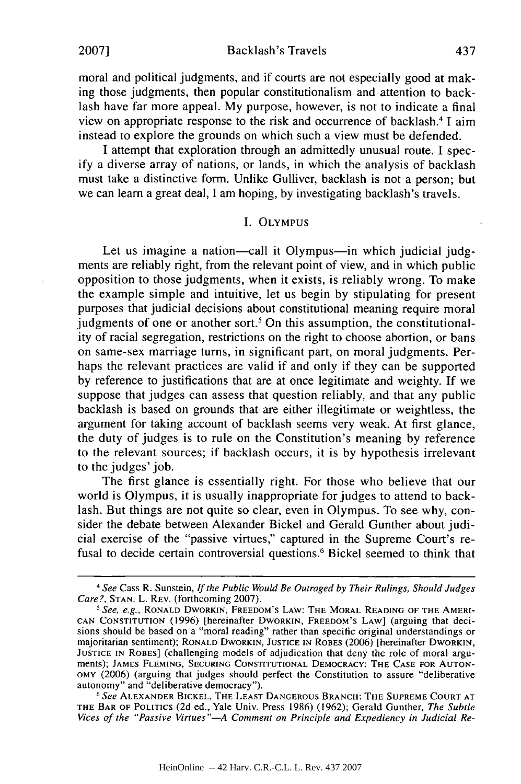moral and political judgments, and if courts are not especially good at making those judgments, then popular constitutionalism and attention to backlash have far more appeal. My purpose, however, is not to indicate a final view on appropriate response to the risk and occurrence of backlash.' I aim instead to explore the grounds on which such a view must be defended.

I attempt that exploration through an admittedly unusual route. I specify a diverse array of nations, or lands, in which the analysis of backlash must take a distinctive form. Unlike Gulliver, backlash is not a person; but we can learn a great deal, I am hoping, by investigating backlash's travels.

#### I. OLYMPUS

Let us imagine a nation—call it Olympus—in which judicial judgments are reliably right, from the relevant point of view, and in which public opposition to those judgments, when it exists, is reliably wrong. To make the example simple and intuitive, let us begin by stipulating for present purposes that judicial decisions about constitutional meaning require moral judgments of one or another sort.<sup>5</sup> On this assumption, the constitutionality of racial segregation, restrictions on the right to choose abortion, or bans on same-sex marriage turns, in significant part, on moral judgments. Perhaps the relevant practices are valid if and only if they can be supported by reference to justifications that are at once legitimate and weighty. If we suppose that judges can assess that question reliably, and that any public backlash is based on grounds that are either illegitimate or weightless, the argument for taking account of backlash seems very weak. At first glance, the duty of judges is to rule on the Constitution's meaning by reference to the relevant sources; if backlash occurs, it is by hypothesis irrelevant to the judges' job.

The first glance is essentially right. For those who believe that our world is Olympus, it is usually inappropriate for judges to attend to backlash. But things are not quite so clear, even in Olympus. To see why, consider the debate between Alexander Bickel and Gerald Gunther about judicial exercise of the "passive virtues," captured in the Supreme Court's refusal to decide certain controversial questions.<sup>6</sup> Bickel seemed to think that

*<sup>4</sup> See* Cass R. Sunstein, *If the Public Would Be Outraged by Their Rulings, Should Judges Care?,* **STAN.** L. REV. (forthcoming 2007).

<sup>&</sup>lt;sup>5</sup> See, e.g., RONALD DWORKIN, FREEDOM'S LAW: THE MORAL READING OF THE AMERI-**CAN CONSTITUTION** (1996) [hereinafter DWORKIN, FREEDOM'S LAW] (arguing that decisions should be based on a "moral reading" rather than specific original understandings or majoritarian sentiment); RONALD DWORKIN, **JUSTICE IN** ROBES (2006) [hereinafter DWORKIN, **JUSTICE IN** ROBES] (challenging models of adjudication that deny the role of moral arguments); JAMES **FLEMING, SECURING CONSTITUTIONAL** DEMOCRACY: THE **CASE** FOR **AUTON-**OMY (2006) (arguing that judges should perfect the Constitution to assure "deliberative autonomy" and "deliberative democracy").

*<sup>6</sup>See* ALEXANDER BICKEL, THE **LEAST** DANGEROUS BRANCH: THE **SUPREME COURT AT** THE BAR **OF** POLITICS (2d ed., Yale Univ. Press 1986) (1962); Gerald Gunther, *The Subtle* Vices of the "Passive Virtues"—A Comment on Principle and Expediency in Judicial Re-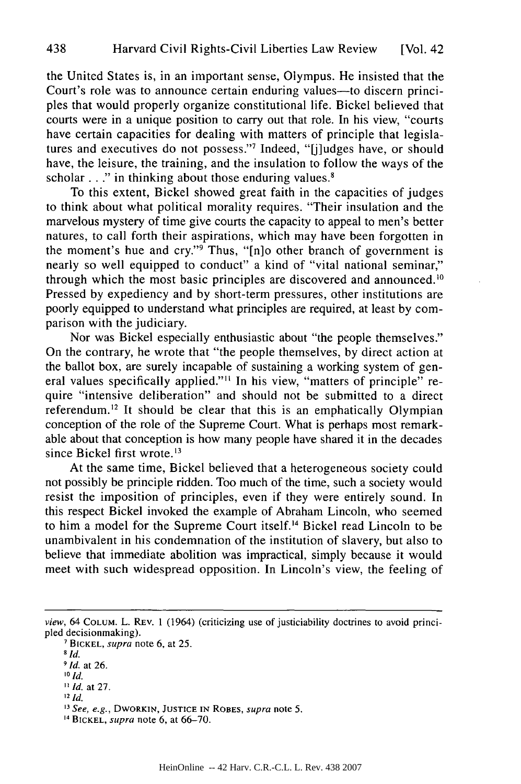the United States is, in an important sense, Olympus. He insisted that the Court's role was to announce certain enduring values—to discern principles that would properly organize constitutional life. Bickel believed that courts were in a unique position to carry out that role. In his view, "courts have certain capacities for dealing with matters of principle that legislatures and executives do not possess."7 Indeed, "[j]udges have, or should have, the leisure, the training, and the insulation to follow the ways of the scholar . . ." in thinking about those enduring values.<sup>8</sup>

To this extent, Bickel showed great faith in the capacities of judges to think about what political morality requires. "Their insulation and the marvelous mystery of time give courts the capacity to appeal to men's better natures, to call forth their aspirations, which may have been forgotten in the moment's hue and cry."9 Thus, "[n]o other branch of government is nearly so well equipped to conduct" a kind of "vital national seminar," through which the most basic principles are discovered and announced.<sup>10</sup> Pressed by expediency and by short-term pressures, other institutions are poorly equipped to understand what principles are required, at least by comparison with the judiciary.

Nor was Bickel especially enthusiastic about "the people themselves." On the contrary, he wrote that "the people themselves, by direct action at the ballot box, are surely incapable of sustaining a working system of general values specifically applied."" In his view, "matters of principle" require "intensive deliberation" and should not be submitted to a direct referendum.<sup>12</sup> It should be clear that this is an emphatically Olympian conception of the role of the Supreme Court. What is perhaps most remarkable about that conception is how many people have shared it in the decades since Bickel first wrote.<sup>13</sup>

At the same time, Bickel believed that a heterogeneous society could not possibly be principle ridden. Too much of the time, such a society would resist the imposition of principles, even if they were entirely sound. In this respect Bickel invoked the example of Abraham Lincoln, who seemed to him a model for the Supreme Court itself.<sup>14</sup> Bickel read Lincoln to be unambivalent in his condemnation of the institution of slavery, but also to believe that immediate abolition was impractical, simply because it would meet with such widespread opposition. In Lincoln's view, the feeling of

- $\overline{10}$   $\overline{1d}$ .
- <sup>11</sup> *Id.* at 27. 2 *Id.*
- 

*view,* 64 COLUM. L. REV. 1 (1964) (criticizing use of justiciability doctrines to avoid principled decisionmaking).

**<sup>7</sup>**BICKEL, supra note **6,** at 25. **81Id.**

*<sup>9</sup> Id.* at 26.

*<sup>13</sup>See, e.g.,* DWORKIN, JUSTICE **IN** ROBES, *supra* note 5.

**<sup>14</sup>**BICKEL, *supra* note **6,** at 66-70.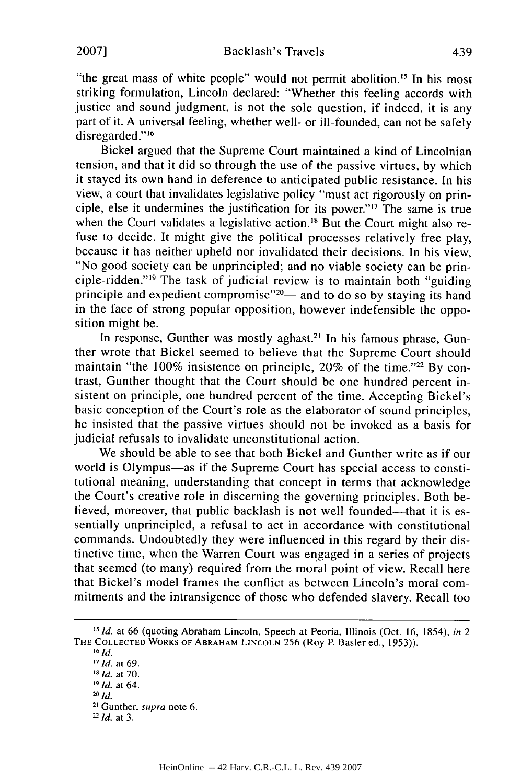"the great mass of white people" would not permit abolition.<sup>15</sup> In his most striking formulation, Lincoln declared: "Whether this feeling accords with justice and sound judgment, is not the sole question, if indeed, it is any part of it. A universal feeling, whether well- or ill-founded, can not be safely disregarded."<sup>16</sup>

Bickel argued that the Supreme Court maintained a kind of Lincolnian tension, and that it did so through the use of the passive virtues, by which it stayed its own hand in deference to anticipated public resistance. In his view, a court that invalidates legislative policy "must act rigorously on principle, else it undermines the justification for its power."' 7 The same is true when the Court validates a legislative action.<sup>18</sup> But the Court might also refuse to decide. It might give the political processes relatively free play, because it has neither upheld nor invalidated their decisions. In his view, "No good society can be unprincipled; and no viable society can be principle-ridden."<sup>19</sup> The task of judicial review is to maintain both "guiding principle and expedient compromise" $^{20}$  and to do so by staying its hand in the face of strong popular opposition, however indefensible the opposition might be.

In response, Gunther was mostly aghast.<sup>21</sup> In his famous phrase, Gunther wrote that Bickel seemed to believe that the Supreme Court should maintain "the 100% insistence on principle, 20% of the time."<sup>22</sup> By contrast, Gunther thought that the Court should be one hundred percent insistent on principle, one hundred percent of the time. Accepting Bickel's basic conception of the Court's role as the elaborator of sound principles, he insisted that the passive virtues should not be invoked as a basis for judicial refusals to invalidate unconstitutional action.

We should be able to see that both Bickel and Gunther write as if our world is Olympus-as if the Supreme Court has special access to constitutional meaning, understanding that concept in terms that acknowledge the Court's creative role in discerning the governing principles. Both believed, moreover, that public backlash is not well founded-that it is essentially unprincipled, a refusal to act in accordance with constitutional commands. Undoubtedly they were influenced in this regard by their distinctive time, when the Warren Court was engaged in a series of projects that seemed (to many) required from the moral point of view. Recall here that Bickel's model frames the conflict as between Lincoln's moral commitments and the intransigence of those who defended slavery. Recall too

*<sup>1</sup> 5 1d.* at 66 (quoting Abraham Lincoln, Speech at Peoria, Illinois (Oct. 16, 1854), *in* 2 THE **COLLECTED** WORKS OF ABRAHAM **LINCOLN** 256 (Roy **P.** Basler ed., 1953)). *6*

*<sup>&#</sup>x27; 1d.*

**<sup>&</sup>quot;7** *Id.* at 69. <sup>18</sup> *Id.* at 70. **19** *Id.* at 64. <sup>20</sup>*Id.* **<sup>21</sup>**Gunther, *supra* note 6. <sup>22</sup> **Id.** at **3.**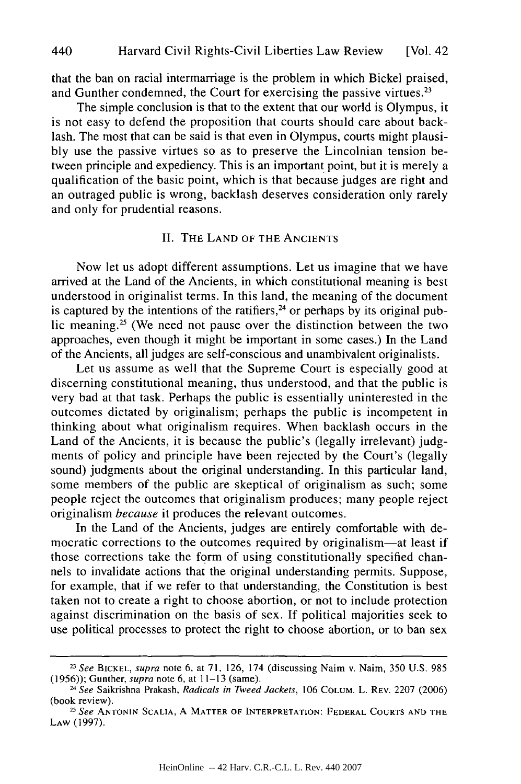that the ban on racial intermarriage is the problem in which Bickel praised, and Gunther condemned, the Court for exercising the passive virtues.<sup>23</sup>

The simple conclusion is that to the extent that our world is Olympus, it is not easy to defend the proposition that courts should care about backlash. The most that can be said is that even in Olympus, courts might plausibly use the passive virtues so as to preserve the Lincolnian tension between principle and expediency. This is an important point, but it is merely a qualification of the basic point, which is that because judges are right and an outraged public is wrong, backlash deserves consideration only rarely and only for prudential reasons.

#### II. THE **LAND** OF THE **ANCIENTS**

Now let us adopt different assumptions. Let us imagine that we have arrived at the Land of the Ancients, in which constitutional meaning is best understood in originalist terms. In this land, the meaning of the document is captured by the intentions of the ratifiers, $24$  or perhaps by its original public meaning.25 (We need not pause over the distinction between the two approaches, even though it might be important in some cases.) In the Land of the Ancients, all judges are self-conscious and unambivalent originalists.

Let us assume as well that the Supreme Court is especially good at discerning constitutional meaning, thus understood, and that the public is very bad at that task. Perhaps the public is essentially uninterested in the outcomes dictated by originalism; perhaps the public is incompetent in thinking about what originalism requires. When backlash occurs in the Land of the Ancients, it is because the public's (legally irrelevant) judgments of policy and principle have been rejected by the Court's (legally sound) judgments about the original understanding. In this particular land, some members of the public are skeptical of originalism as such; some people reject the outcomes that originalism produces; many people reject originalism *because* it produces the relevant outcomes.

In the Land of the Ancients, judges are entirely comfortable with democratic corrections to the outcomes required by originalism—at least if those corrections take the form of using constitutionally specified channels to invalidate actions that the original understanding permits. Suppose, for example, that if we refer to that understanding, the Constitution is best taken not to create a right to choose abortion, or not to include protection against discrimination on the basis of sex. If political majorities seek to use political processes to protect the fight to choose abortion, or to ban sex

<sup>23</sup> *See* BICKEL, *supra* note **6,** at **71, 126,** 174 (discussing Naim v. Naim, **350 U.S. 985** (1956)); Gunther, supra note 6, at 11-13 (same). <sup>24</sup>*See* Saikrishna Prakash, *Radicals in Tweed Jackets,* 106 **COLUM.** L. REV. 2207 (2006)

<sup>(</sup>book review).

<sup>25</sup>*See* **ANTONIN** SCALIA, **A** MATTER OF INTERPRETATION: FEDERAL **COURTS AND** THE LAW (1997).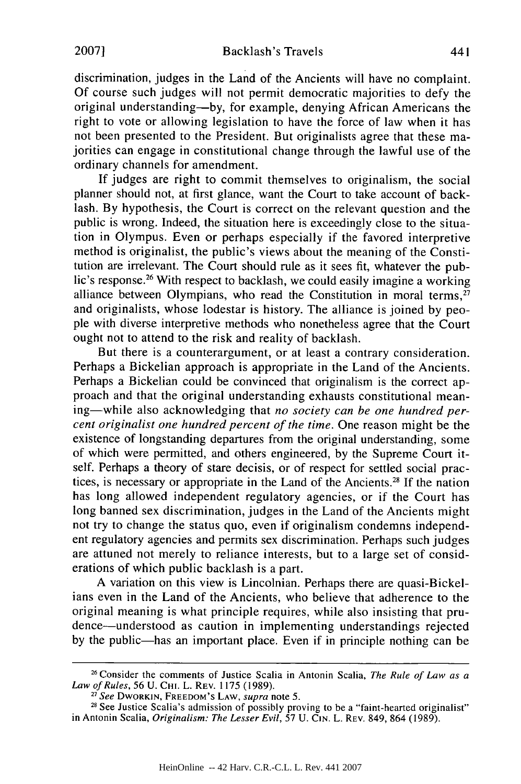discrimination, judges in the Land of the Ancients will have no complaint. Of course such judges will not permit democratic majorities to defy the original understanding-by, for example, denying African Americans the right to vote or allowing legislation to have the force of law when it has not been presented to the President. But originalists agree that these majorities can engage in constitutional change through the lawful use of the ordinary channels for amendment.

If judges are right to commit themselves to originalism, the social planner should not, at first glance, want the Court to take account of backlash. By hypothesis, the Court is correct on the relevant question and the public is wrong. Indeed, the situation here is exceedingly close to the situation in Olympus. Even or perhaps especially if the favored interpretive method is originalist, the public's views about the meaning of the Constitution are irrelevant. The Court should rule as it sees fit, whatever the public's response.26 With respect to backlash, we could easily imagine a working alliance between Olympians, who read the Constitution in moral terms,<sup>27</sup> and originalists, whose lodestar is history. The alliance is joined by people with diverse interpretive methods who nonetheless agree that the Court ought not to attend to the risk and reality of backlash.

But there is a counterargument, or at least a contrary consideration. Perhaps a Bickelian approach is appropriate in the Land of the Ancients. Perhaps a Bickelian could be convinced that originalism is the correct approach and that the original understanding exhausts constitutional meaning-while also acknowledging that *no society can be one hundred percent originalist one hundred percent of the time.* One reason might be the existence of longstanding departures from the original understanding, some of which were permitted, and others engineered, by the Supreme Court itself. Perhaps a theory of stare decisis, or of respect for settled social practices, is necessary or appropriate in the Land of the Ancients.28 If the nation has long allowed independent regulatory agencies, or if the Court has long banned sex discrimination, judges in the Land of the Ancients might not try to change the status quo, even if originalism condemns independent regulatory agencies and permits sex discrimination. Perhaps such judges are attuned not merely to reliance interests, but to a large set of considerations of which public backlash is a part.

A variation on this view is Lincolnian. Perhaps there are quasi-Bickelians even in the Land of the Ancients, who believe that adherence to the original meaning is what principle requires, while also insisting that prudence-understood as caution in implementing understandings rejected by the public-has an important place. Even if in principle nothing can be

<sup>26</sup> Consider the comments of Justice Scalia in Antonin Scalia, *The Rule of Law as a Law of Rules,* 56 U. CHI. L. REV. 1175 (1989). *<sup>2</sup> 7 See* DWORKIN, FREEDOM'S LAW, *supra* note 5.

<sup>&</sup>lt;sup>28</sup> See Justice Scalia's admission of possibly proving to be a "faint-hearted originalist" in Antonin Scalia, *Originalism: The Lesser Evil,* 57 U. CIN. L. REV. 849, 864 (1989).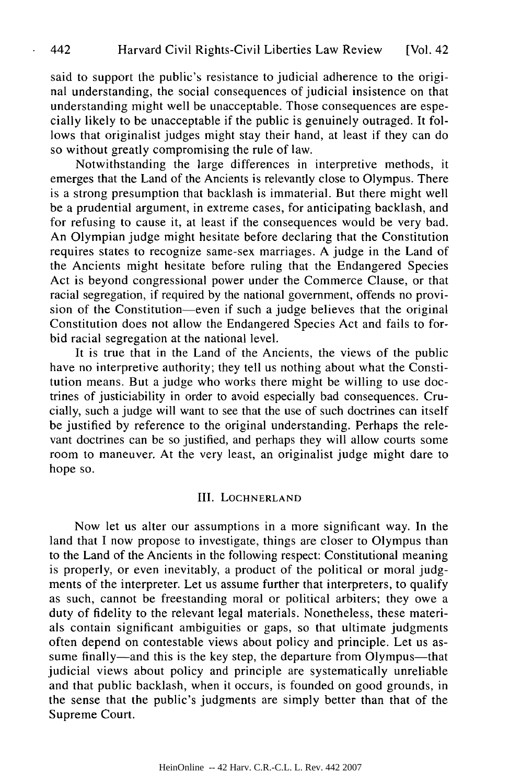said to support the public's resistance to judicial adherence to the original understanding, the social consequences of judicial insistence on that understanding might well be unacceptable. Those consequences are especially likely to be unacceptable if the public is genuinely outraged. It follows that originalist judges might stay their hand, at least if they can do so without greatly compromising the rule of law.

442

Notwithstanding the large differences in interpretive methods, it emerges that the Land of the Ancients is relevantly close to Olympus. There is a strong presumption that backlash is immaterial. But there might well be a prudential argument, in extreme cases, for anticipating backlash, and for refusing to cause it, at least if the consequences would be very bad. An Olympian judge might hesitate before declaring that the Constitution requires states to recognize same-sex marriages. A judge in the Land of the Ancients might hesitate before ruling that the Endangered Species Act is beyond congressional power under the Commerce Clause, or that racial segregation, if required by the national government, offends no provision of the Constitution—even if such a judge believes that the original Constitution does not allow the Endangered Species Act and fails to forbid racial segregation at the national level.

It is true that in the Land of the Ancients, the views of the public have no interpretive authority; they tell us nothing about what the Constitution means. But a judge who works there might be willing to use doctrines of justiciability in order to avoid especially bad consequences. Crucially, such a judge will want to see that the use of such doctrines can itself be justified by reference to the original understanding. Perhaps the relevant doctrines can be so justified, and perhaps they will allow courts some room to maneuver. At the very least, an originalist judge might dare to hope so.

#### III. LOCHNERLAND

Now let us alter our assumptions in a more significant way. In the land that I now propose to investigate, things are closer to Olympus than to the Land of the Ancients in the following respect: Constitutional meaning is properly, or even inevitably, a product of the political or moral judgments of the interpreter. Let us assume further that interpreters, to qualify as such, cannot be freestanding moral or political arbiters; they owe a duty of fidelity to the relevant legal materials. Nonetheless, these materials contain significant ambiguities or gaps, so that ultimate judgments often depend on contestable views about policy and principle. Let us assume finally—and this is the key step, the departure from Olympus—that judicial views about policy and principle are systematically unreliable and that public backlash, when it occurs, is founded on good grounds, in the sense that the public's judgments are simply better than that of the Supreme Court.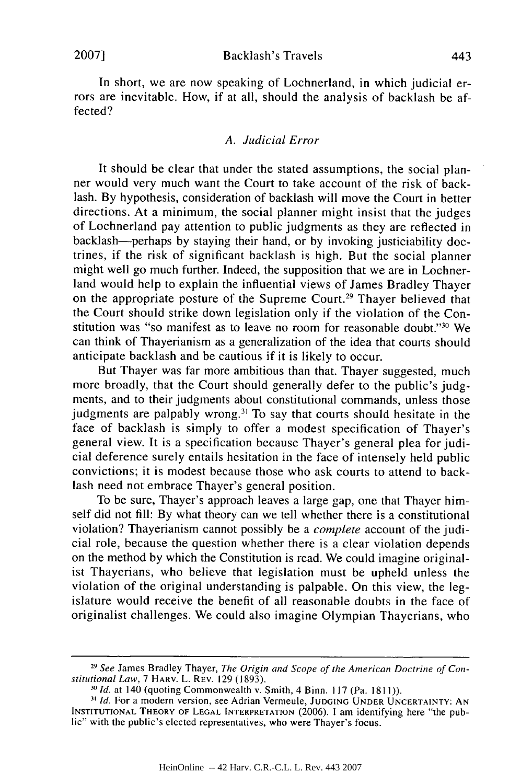In short, we are now speaking of Lochnerland, in which judicial errors are inevitable. How, if at all, should the analysis of backlash be affected?

#### *A. Judicial Error*

It should be clear that under the stated assumptions, the social planner would very much want the Court to take account of the risk of backlash. By hypothesis, consideration of backlash will move the Court in better directions. At a minimum, the social planner might insist that the judges of Lochnerland pay attention to public judgments as they are reflected in backlash-perhaps by staying their hand, or by invoking justiciability doctrines, if the risk of significant backlash is high. But the social planner might well go much further. Indeed, the supposition that we are in Lochnerland would help to explain the influential views of James Bradley Thayer on the appropriate posture of the Supreme Court.<sup>29</sup> Thayer believed that the Court should strike down legislation only if the violation of the Constitution was "so manifest as to leave no room for reasonable doubt."30 We can think of Thayerianism as a generalization of the idea that courts should anticipate backlash and be cautious if it is likely to occur.

But Thayer was far more ambitious than that. Thayer suggested, much more broadly, that the Court should generally defer to the public's judgments, and to their judgments about constitutional commands, unless those judgments are palpably wrong.<sup>31</sup> To say that courts should hesitate in the face of backlash is simply to offer a modest specification of Thayer's general view. It is a specification because Thayer's general plea for judicial deference surely entails hesitation in the face of intensely held public convictions; it is modest because those who ask courts to attend to backlash need not embrace Thayer's general position.

To be sure, Thayer's approach leaves a large gap, one that Thayer himself did not fill: By what theory can we tell whether there is a constitutional violation? Thayerianism cannot possibly be a *complete* account of the judicial role, because the question whether there is a clear violation depends on the method by which the Constitution is read. We could imagine originalist Thayerians, who believe that legislation must be upheld unless the violation of the original understanding is palpable. On this view, the legislature would receive the benefit of all reasonable doubts in the face of originalist challenges. We could also imagine Olympian Thayerians, who

*<sup>29</sup> See* James Bradley Thayer, *The Origin and Scope of the American Doctrine of Constitutional Law,* 7 HARV. L. REV. 129 (1893). *<sup>30</sup>Id.* at 140 (quoting Commonwealth v. Smith, 4 Binn. **117** (Pa. 1811)).

**<sup>31</sup>***Id.* For a modern version, see Adrian Vermeule, **JUDGING UNDER UNCERTAINTY: AN** INSTITUTIONAL THEORY OF **LEGAL** INTERPRETATION (2006). **1** am identifying here "the public" with the public's elected representatives, who were Thayer's focus.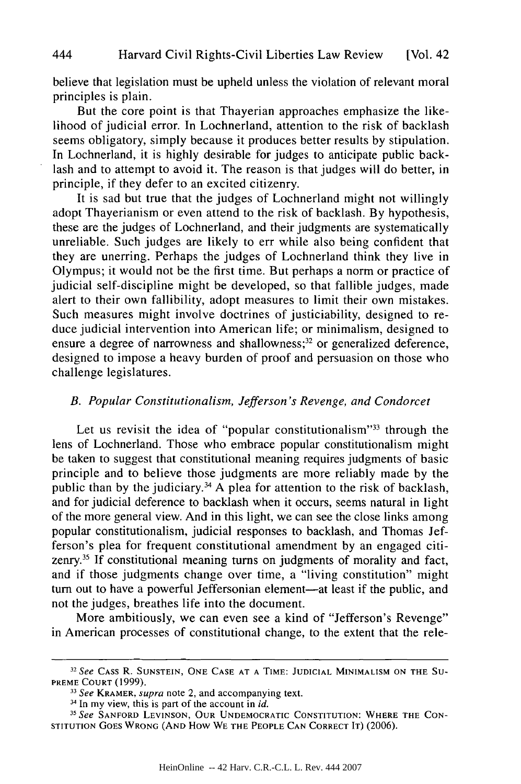believe that legislation must be upheld unless the violation of relevant moral principles is plain.

But the core point is that Thayerian approaches emphasize the likelihood of judicial error. In Lochnerland, attention to the risk of backlash seems obligatory, simply because it produces better results by stipulation. In Lochnerland, it is highly desirable for judges to anticipate public backlash and to attempt to avoid it. The reason is that judges will do better, in principle, if they defer to an excited citizenry.

It is sad but true that the judges of Lochnerland might not willingly adopt Thayerianism or even attend to the risk of backlash. By hypothesis, these are the judges of Lochnerland, and their judgments are systematically unreliable. Such judges are likely to err while also being confident that they are unerring. Perhaps the judges of Lochnerland think they live in Olympus; it would not be the first time. But perhaps a norm or practice of judicial self-discipline might be developed, so that fallible judges, made alert to their own fallibility, adopt measures to limit their own mistakes. Such measures might involve doctrines of justiciability, designed to reduce judicial intervention into American life; or minimalism, designed to ensure a degree of narrowness and shallowness; $32$  or generalized deference, designed to impose a heavy burden of proof and persuasion on those who challenge legislatures.

#### *B. Popular Constitutionalism, Jefferson's Revenge, and Condorcet*

Let us revisit the idea of "popular constitutionalism"<sup>33</sup> through the lens of Lochnerland. Those who embrace popular constitutionalism might be taken to suggest that constitutional meaning requires judgments of basic principle and to believe those judgments are more reliably made by the public than by the judiciary.<sup>34</sup> A plea for attention to the risk of backlash, and for judicial deference to backlash when it occurs, seems natural in light of the more general view. And in this light, we can see the close links among popular constitutionalism, judicial responses to backlash, and Thomas Jefferson's plea for frequent constitutional amendment by an engaged citizenry.35 If constitutional meaning turns on judgments of morality and fact, and if those judgments change over time, a "living constitution" might turn out to have a powerful Jeffersonian element—at least if the public, and not the judges, breathes life into the document.

More ambitiously, we can even see a kind of "Jefferson's Revenge" in American processes of constitutional change, to the extent that the rele-

<sup>32</sup> See CASS R. **SUNSTEIN, ONE CASE AT A** TIME: **JUDICIAL** MINIMALISM **ON** THE **SU-PREME COURT** (1999).

**<sup>31</sup>***See* KRAMER, *supra* note 2, and accompanying text.

<sup>&</sup>lt;sup>34</sup> In my view, this is part of the account in *id.*  $\overline{a}$ <br><sup>35</sup> See SANFORD LEVINSON, OUR UNDEMOCRATIC CONSTITUTION: WHERE THE CON-STITUTION **GOES** WRONG **(AND** How WE THE PEOPLE **CAN** CORRECT IT) (2006).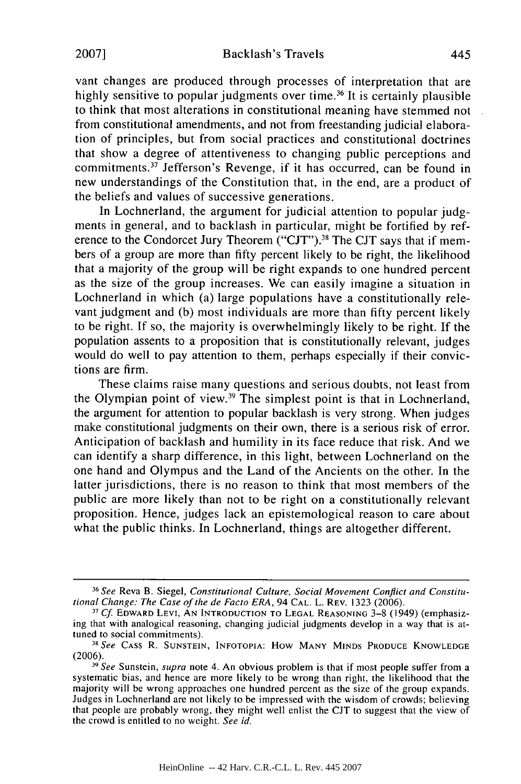vant changes are produced through processes of interpretation that are highly sensitive to popular judgments over time.<sup>36</sup> It is certainly plausible to think that most alterations in constitutional meaning have stemmed not from constitutional amendments, and not from freestanding judicial elaboration of principles, but from social practices and constitutional doctrines that show a degree of attentiveness to changing public perceptions and commitments.37 Jefferson's Revenge, if it has occurred, can be found in new understandings of the Constitution that, in the end, are a product of the beliefs and values of successive generations.

In Lochnerland, the argument for judicial attention to popular judgments in general, and to backlash in particular, might be fortified by reference to the Condorcet Jury Theorem ("CJT").<sup>38</sup> The CJT says that if members of a group are more than fifty percent likely to be right, the likelihood that a majority of the group will be right expands to one hundred percent as the size of the group increases. We can easily imagine a situation in Lochnerland in which (a) large populations have a constitutionally relevant judgment and (b) most individuals are more than fifty percent likely to be right. If so, the majority is overwhelmingly likely to be right. If the population assents to a proposition that is constitutionally relevant, judges would do well to pay attention to them, perhaps especially if their convictions are firm.

These claims raise many questions and serious doubts, not least from the Olympian point of view.39 The simplest point is that in Lochnerland, the argument for attention to popular backlash is very strong. When judges make constitutional judgments on their own, there is a serious risk of error. Anticipation of backlash and humility in its face reduce that risk. And we can identify a sharp difference, in this light, between Lochnerland on the one hand and Olympus and the Land of the Ancients on the other. In the latter jurisdictions, there is no reason to think that most members of the public are more likely than not to be right on a constitutionally relevant proposition. Hence, judges lack an epistemological reason to care about what the public thinks. In Lochnerland, things are altogether different.

**<sup>36</sup>** *See* Reva B. Siegel, *Constitutional Culture, Social Movement Conflict and Constitutional Change: The Case of the de Facto ERA,* 94 **CAL.** L. REV. 1323 (2006).

**<sup>37</sup>** *Cf* EDWARD LEVI, **AN INTRODUCTION** TO **LEGAL REASONING** 3-8 (1949) (emphasizing that with analogical reasoning, changing judicial judgments develop in a way that is attuned to social commitments). *<sup>38</sup> See* CASS R. **SUNSTEIN, INFOTOPIA:** How MANY **MINDS PRODUCE KNOWLEDGE**

<sup>(2006).</sup>

*<sup>19</sup> See* Sunstein, *supra* note 4. An obvious problem is that if most people suffer from a systematic bias, and hence are more likely to be wrong than right, the likelihood that the majority will be wrong approaches one hundred percent as the size of the group expands. Judges in Lochnerland are not likely to be impressed with the wisdom of crowds; believing that people are probably wrong, they might well enlist the CJT to suggest that the view of the crowd is entitled to no weight. *See id.*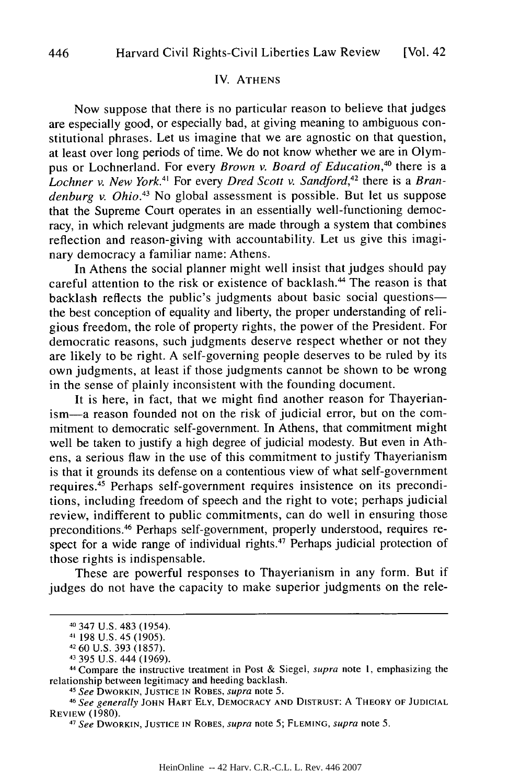#### IV. ATHENS

Now suppose that there is no particular reason to believe that judges are especially good, or especially bad, at giving meaning to ambiguous constitutional phrases. Let us imagine that we are agnostic on that question, at least over long periods of time. We do not know whether we are in Olympus or Lochnerland. For every *Brown v. Board of Education,"°* there is a *Lochner v. New York*.<sup>41</sup> For every *Dred Scott v. Sandford*,<sup>42</sup> there is a *Brandenburg v. Ohio.43* No global assessment is possible. But let us suppose that the Supreme Court operates in an essentially well-functioning democracy, in which relevant judgments are made through a system that combines reflection and reason-giving with accountability. Let us give this imaginary democracy a familiar name: Athens.

In Athens the social planner might well insist that judges should pay careful attention to the risk or existence of backlash.<sup>44</sup> The reason is that backlash reflects the public's judgments about basic social questionsthe best conception of equality and liberty, the proper understanding of religious freedom, the role of property rights, the power of the President. For democratic reasons, such judgments deserve respect whether or not they are likely to be right. A self-governing people deserves to be ruled by its own judgments, at least if those judgments cannot be shown to be wrong in the sense of plainly inconsistent with the founding document.

It is here, in fact, that we might find another reason for Thayerianism-a reason founded not on the risk of judicial error, but on the commitment to democratic self-government. In Athens, that commitment might well be taken to justify a high degree of judicial modesty. But even in Athens, a serious flaw in the use of this commitment to justify Thayerianism is that it grounds its defense on a contentious view of what self-government requires. 45 Perhaps self-government requires insistence on its preconditions, including freedom of speech and the right to vote; perhaps judicial review, indifferent to public commitments, can do well in ensuring those preconditions **.46** Perhaps self-government, properly understood, requires respect for a wide range of individual rights.<sup>47</sup> Perhaps judicial protection of those rights is indispensable.

These are powerful responses to Thayerianism in any form. But if judges do not have the capacity to make superior judgments on the rele-

**<sup>-</sup>** 347 U.S. 483 (1954).

<sup>41 198</sup> U.S. 45 (1905).

<sup>42 60</sup> U.S. 393 (1857).

<sup>43 395</sup> U.S. 444 (1969).

**<sup>&#</sup>x27;A** Compare the instructive treatment in Post & Siegel, *supra* note **1,** emphasizing the relationship between legitimacy and heeding backlash.

*<sup>45</sup> See* DWORKIN, **JUSTICE IN** ROBES, *supra* note 5.

*<sup>&#</sup>x27;6 See generally* **JOHN** HART **ELY,** DEMOCRACY **AND** DISTRUST: A THEORY OF **JUDICIAL** REVIEW (1980).

*<sup>41</sup> See* DWORKIN, **JUSTICE IN** ROBES, *supra* note 5; **FLEMING,** *supra* note 5.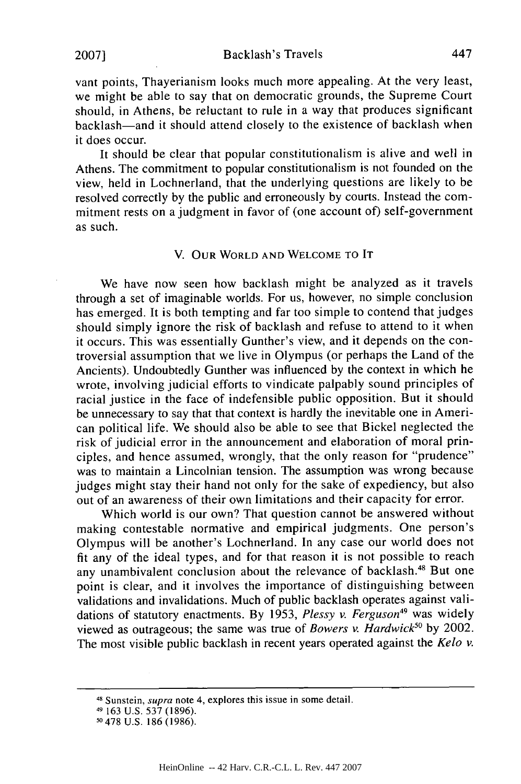vant points, Thayerianism looks much more appealing. At the very least, we might be able to say that on democratic grounds, the Supreme Court should, in Athens, be reluctant to rule in a way that produces significant backlash-and it should attend closely to the existence of backlash when it does occur.

It should be clear that popular constitutionalism is alive and well in Athens. The commitment to popular constitutionalism is not founded on the view, held in Lochnerland, that the underlying questions are likely to be resolved correctly by the public and erroneously by courts. Instead the commitment rests on a judgment in favor of (one account of) self-government as such.

#### V. OUR WORLD **AND** WELCOME **TO IT**

We have now seen how backlash might be analyzed as it travels through a set of imaginable worlds. For us, however, no simple conclusion has emerged. It is both tempting and far too simple to contend that judges should simply ignore the risk of backlash and refuse to attend to it when it occurs. This was essentially Gunther's view, and it depends on the controversial assumption that we live in Olympus (or perhaps the Land of the Ancients). Undoubtedly Gunther was influenced by the context in which he wrote, involving judicial efforts to vindicate palpably sound principles of racial justice in the face of indefensible public opposition. But it should be unnecessary to say that that context is hardly the inevitable one in American political life. We should also be able to see that Bickel neglected the risk of judicial error in the announcement and elaboration of moral principles, and hence assumed, wrongly, that the only reason for "prudence" was to maintain a Lincolnian tension. The assumption was wrong because judges might stay their hand not only for the sake of expediency, but also out of an awareness of their own limitations and their capacity for error.

Which world is our own? That question cannot be answered without making contestable normative and empirical judgments. One person's Olympus will be another's Lochnerland. In any case our world does not fit any of the ideal types, and for that reason it is not possible to reach any unambivalent conclusion about the relevance of backlash.<sup>48</sup> But one point is clear, and it involves the importance of distinguishing between validations and invalidations. Much of public backlash operates against validations of statutory enactments. By 1953, Plessy v. Ferguson<sup>49</sup> was widely viewed as outrageous; the same was true of *Bowers v. Hardwick5°* by 2002. The most visible public backlash in recent years operated against the *Kelo v.*

**<sup>48</sup>** Sunstein, supra note 4, explores this issue in some detail.

**<sup>49</sup>** 163 U.S. 537 (1896).

**<sup>50478</sup>** U.S. 186 (1986).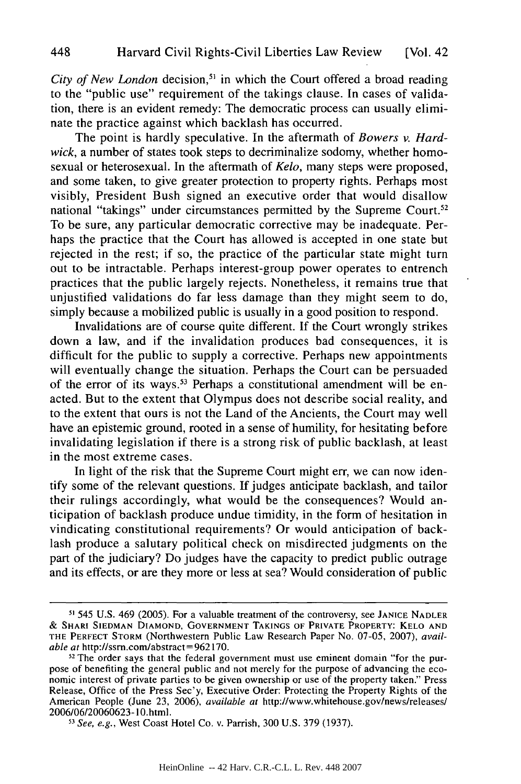*City of New London* decision,<sup>51</sup> in which the Court offered a broad reading to the "public use" requirement of the takings clause. In cases of validation, there is an evident remedy: The democratic process can usually eliminate the practice against which backlash has occurred.

The point is hardly speculative. In the aftermath of *Bowers v. Hardwick,* a number of states took steps to decriminalize sodomy, whether homosexual or heterosexual. In the aftermath of *Kelo,* many steps were proposed, and some taken, to give greater protection to property rights. Perhaps most visibly, President Bush signed an executive order that would disallow national "takings" under circumstances permitted by the Supreme Court.<sup>52</sup> To be sure, any particular democratic corrective may be inadequate. Perhaps the practice that the Court has allowed is accepted in one state but rejected in the rest; if so, the practice of the particular state might turn out to be intractable. Perhaps interest-group power operates to entrench practices that the public largely rejects. Nonetheless, it remains true that unjustified validations do far less damage than they might seem to do, simply because a mobilized public is usually in a good position to respond.

Invalidations are of course quite different. If the Court wrongly strikes down a law, and if the invalidation produces bad consequences, it is difficult for the public to supply a corrective. Perhaps new appointments will eventually change the situation. Perhaps the Court can be persuaded of the error of its ways.<sup>53</sup> Perhaps a constitutional amendment will be enacted. But to the extent that Olympus does not describe social reality, and to the extent that ours is not the Land of the Ancients, the Court may well have an epistemic ground, rooted in a sense of humility, for hesitating before invalidating legislation if there is a strong risk of public backlash, at least in the most extreme cases.

In light of the risk that the Supreme Court might err, we can now identify some of the relevant questions. If judges anticipate backlash, and tailor their rulings accordingly, what would be the consequences? Would anticipation of backlash produce undue timidity, in the form of hesitation in vindicating constitutional requirements? Or would anticipation of backlash produce a salutary political check on misdirected judgments on the part of the judiciary? Do judges have the capacity to predict public outrage and its effects, or are they more or less at sea? Would consideration of public

**<sup>51</sup>** 545 U.S. 469 (2005). For a valuable treatment of the controversy, see **JANICE** NADLER **&** SHARI SIEDMAN **DIAMOND, GOVERNMENT TAKINGS** OF PRIVATE PROPERTY: KELO **AND** THE PERFECT STORM (Northwestern Public Law Research Paper No. 07-05, 2007), *available at* http://ssrn.com/abstract= 962170.

**<sup>52</sup>** The order says that the federal government must use eminent domain "for the purpose of benefiting the general public and not merely for the purpose of advancing the economic interest of private parties to be given ownership or use of the property taken." Press Release, Office of the Press Sec'y, Executive Order: Protecting the Property Rights of the American People (June 23, 2006), *available at* http://www.whitehouse.gov/news/releases/ 2006/06/20060623-1 O.html.

*<sup>53</sup>* See, e.g., West Coast Hotel Co. v. Parrish, 300 U.S. 379 (1937).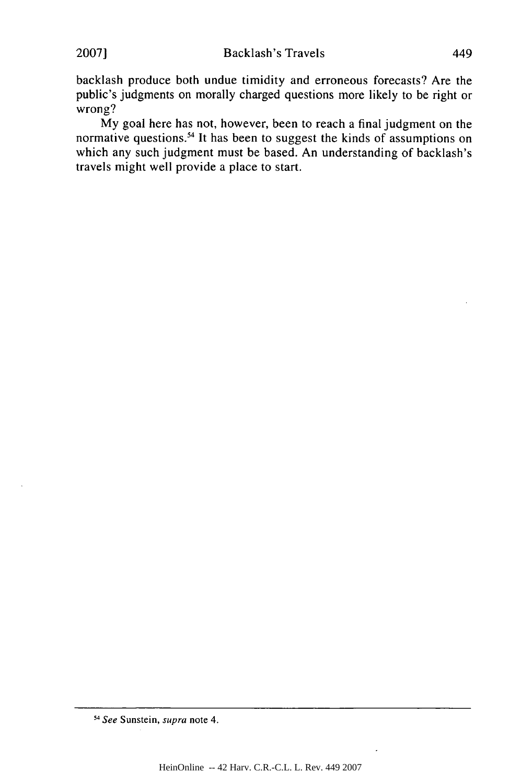backlash produce both undue timidity and erroneous forecasts? Are the public's judgments on morally charged questions more likely to be right or wrong?

My goal here has not, however, been to reach a final judgment on the normative questions.<sup>54</sup> It has been to suggest the kinds of assumptions on which any such judgment must be based. An understanding of backlash's travels might well provide a place to start.

*<sup>54</sup>* See Sunstein, supra note 4.